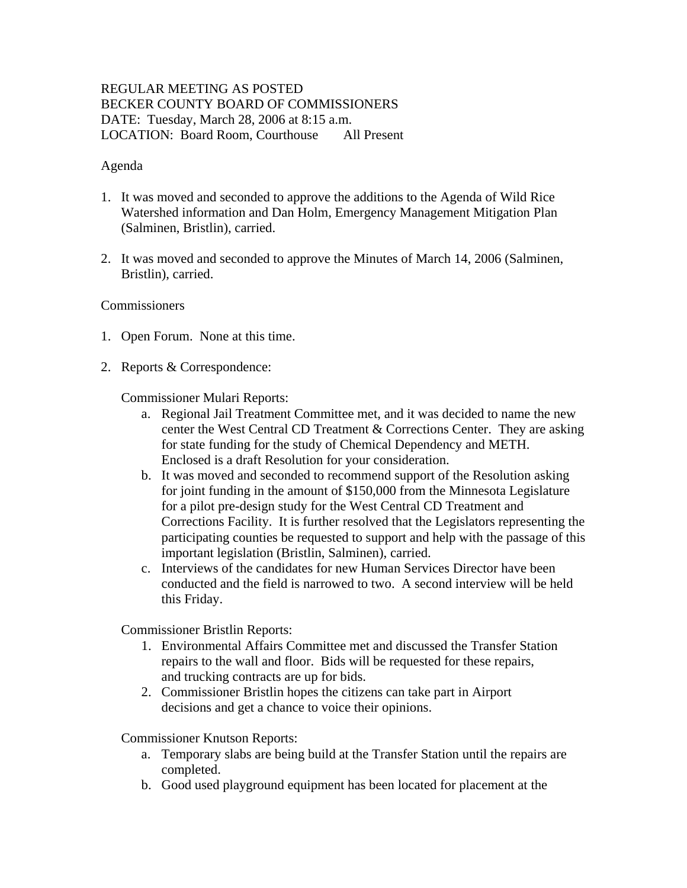# REGULAR MEETING AS POSTED BECKER COUNTY BOARD OF COMMISSIONERS DATE: Tuesday, March 28, 2006 at 8:15 a.m. LOCATION: Board Room, Courthouse All Present

### Agenda

- 1. It was moved and seconded to approve the additions to the Agenda of Wild Rice Watershed information and Dan Holm, Emergency Management Mitigation Plan (Salminen, Bristlin), carried.
- 2. It was moved and seconded to approve the Minutes of March 14, 2006 (Salminen, Bristlin), carried.

#### Commissioners

- 1. Open Forum. None at this time.
- 2. Reports & Correspondence:

Commissioner Mulari Reports:

- a. Regional Jail Treatment Committee met, and it was decided to name the new center the West Central CD Treatment & Corrections Center. They are asking for state funding for the study of Chemical Dependency and METH. Enclosed is a draft Resolution for your consideration.
- b. It was moved and seconded to recommend support of the Resolution asking for joint funding in the amount of \$150,000 from the Minnesota Legislature for a pilot pre-design study for the West Central CD Treatment and Corrections Facility. It is further resolved that the Legislators representing the participating counties be requested to support and help with the passage of this important legislation (Bristlin, Salminen), carried.
- c. Interviews of the candidates for new Human Services Director have been conducted and the field is narrowed to two. A second interview will be held this Friday.

Commissioner Bristlin Reports:

- 1. Environmental Affairs Committee met and discussed the Transfer Station repairs to the wall and floor. Bids will be requested for these repairs, and trucking contracts are up for bids.
- 2. Commissioner Bristlin hopes the citizens can take part in Airport decisions and get a chance to voice their opinions.

Commissioner Knutson Reports:

- a. Temporary slabs are being build at the Transfer Station until the repairs are completed.
- b. Good used playground equipment has been located for placement at the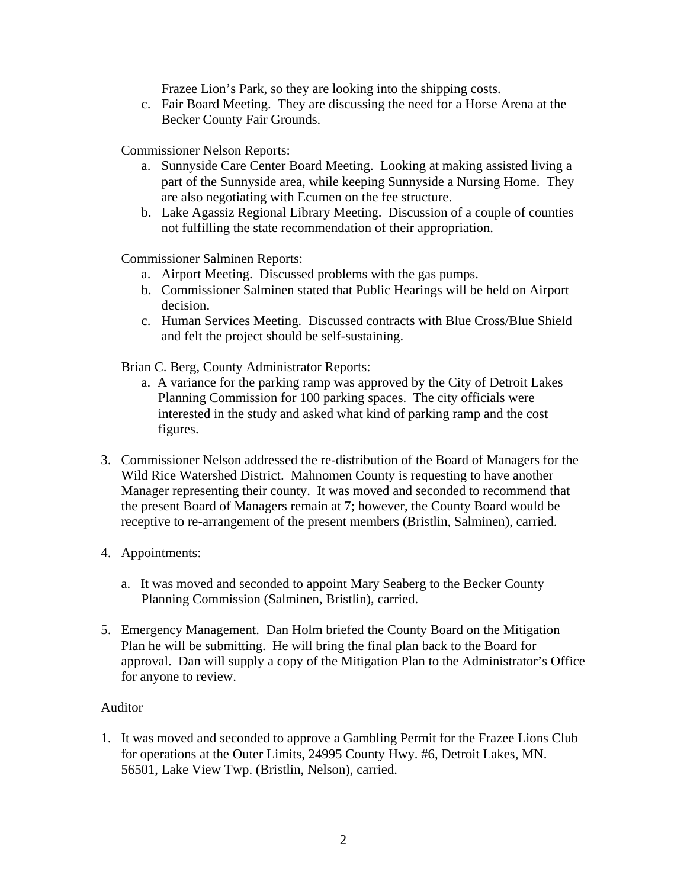Frazee Lion's Park, so they are looking into the shipping costs.

c. Fair Board Meeting. They are discussing the need for a Horse Arena at the Becker County Fair Grounds.

Commissioner Nelson Reports:

- a. Sunnyside Care Center Board Meeting. Looking at making assisted living a part of the Sunnyside area, while keeping Sunnyside a Nursing Home. They are also negotiating with Ecumen on the fee structure.
- b. Lake Agassiz Regional Library Meeting. Discussion of a couple of counties not fulfilling the state recommendation of their appropriation.

Commissioner Salminen Reports:

- a. Airport Meeting. Discussed problems with the gas pumps.
- b. Commissioner Salminen stated that Public Hearings will be held on Airport decision.
- c. Human Services Meeting. Discussed contracts with Blue Cross/Blue Shield and felt the project should be self-sustaining.

Brian C. Berg, County Administrator Reports:

- a. A variance for the parking ramp was approved by the City of Detroit Lakes Planning Commission for 100 parking spaces. The city officials were interested in the study and asked what kind of parking ramp and the cost figures.
- 3. Commissioner Nelson addressed the re-distribution of the Board of Managers for the Wild Rice Watershed District. Mahnomen County is requesting to have another Manager representing their county. It was moved and seconded to recommend that the present Board of Managers remain at 7; however, the County Board would be receptive to re-arrangement of the present members (Bristlin, Salminen), carried.
- 4. Appointments:
	- a. It was moved and seconded to appoint Mary Seaberg to the Becker County Planning Commission (Salminen, Bristlin), carried.
- 5. Emergency Management. Dan Holm briefed the County Board on the Mitigation Plan he will be submitting. He will bring the final plan back to the Board for approval. Dan will supply a copy of the Mitigation Plan to the Administrator's Office for anyone to review.

#### Auditor

1. It was moved and seconded to approve a Gambling Permit for the Frazee Lions Club for operations at the Outer Limits, 24995 County Hwy. #6, Detroit Lakes, MN. 56501, Lake View Twp. (Bristlin, Nelson), carried.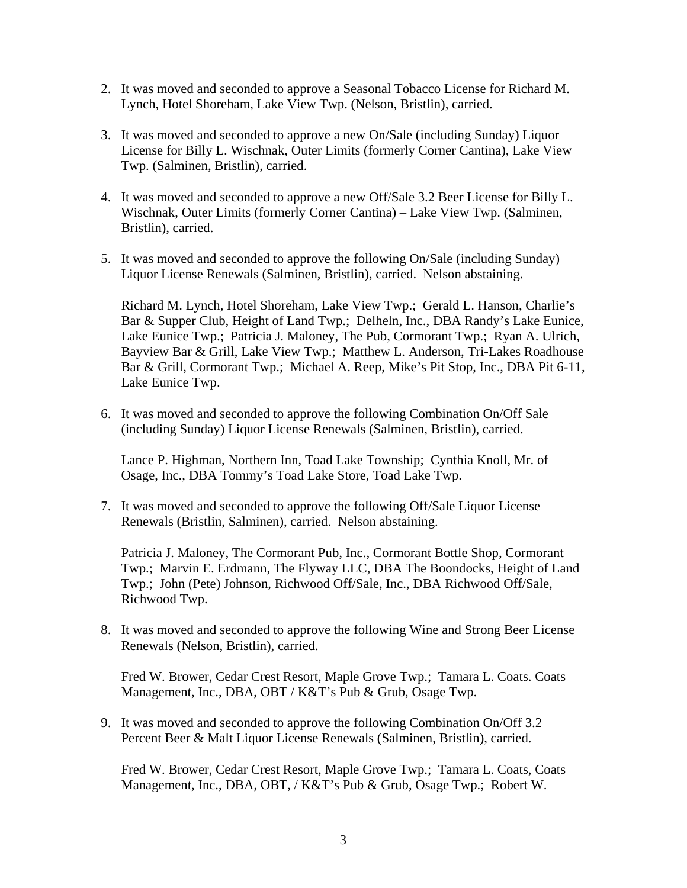- 2. It was moved and seconded to approve a Seasonal Tobacco License for Richard M. Lynch, Hotel Shoreham, Lake View Twp. (Nelson, Bristlin), carried.
- 3. It was moved and seconded to approve a new On/Sale (including Sunday) Liquor License for Billy L. Wischnak, Outer Limits (formerly Corner Cantina), Lake View Twp. (Salminen, Bristlin), carried.
- 4. It was moved and seconded to approve a new Off/Sale 3.2 Beer License for Billy L. Wischnak, Outer Limits (formerly Corner Cantina) – Lake View Twp. (Salminen, Bristlin), carried.
- 5. It was moved and seconded to approve the following On/Sale (including Sunday) Liquor License Renewals (Salminen, Bristlin), carried. Nelson abstaining.

Richard M. Lynch, Hotel Shoreham, Lake View Twp.; Gerald L. Hanson, Charlie's Bar & Supper Club, Height of Land Twp.; Delheln, Inc., DBA Randy's Lake Eunice, Lake Eunice Twp.; Patricia J. Maloney, The Pub, Cormorant Twp.; Ryan A. Ulrich, Bayview Bar & Grill, Lake View Twp.; Matthew L. Anderson, Tri-Lakes Roadhouse Bar & Grill, Cormorant Twp.; Michael A. Reep, Mike's Pit Stop, Inc., DBA Pit 6-11, Lake Eunice Twp.

6. It was moved and seconded to approve the following Combination On/Off Sale (including Sunday) Liquor License Renewals (Salminen, Bristlin), carried.

Lance P. Highman, Northern Inn, Toad Lake Township; Cynthia Knoll, Mr. of Osage, Inc., DBA Tommy's Toad Lake Store, Toad Lake Twp.

7. It was moved and seconded to approve the following Off/Sale Liquor License Renewals (Bristlin, Salminen), carried. Nelson abstaining.

Patricia J. Maloney, The Cormorant Pub, Inc., Cormorant Bottle Shop, Cormorant Twp.; Marvin E. Erdmann, The Flyway LLC, DBA The Boondocks, Height of Land Twp.; John (Pete) Johnson, Richwood Off/Sale, Inc., DBA Richwood Off/Sale, Richwood Twp.

8. It was moved and seconded to approve the following Wine and Strong Beer License Renewals (Nelson, Bristlin), carried.

Fred W. Brower, Cedar Crest Resort, Maple Grove Twp.; Tamara L. Coats. Coats Management, Inc., DBA, OBT / K&T's Pub & Grub, Osage Twp.

9. It was moved and seconded to approve the following Combination On/Off 3.2 Percent Beer & Malt Liquor License Renewals (Salminen, Bristlin), carried.

Fred W. Brower, Cedar Crest Resort, Maple Grove Twp.; Tamara L. Coats, Coats Management, Inc., DBA, OBT, / K&T's Pub & Grub, Osage Twp.; Robert W.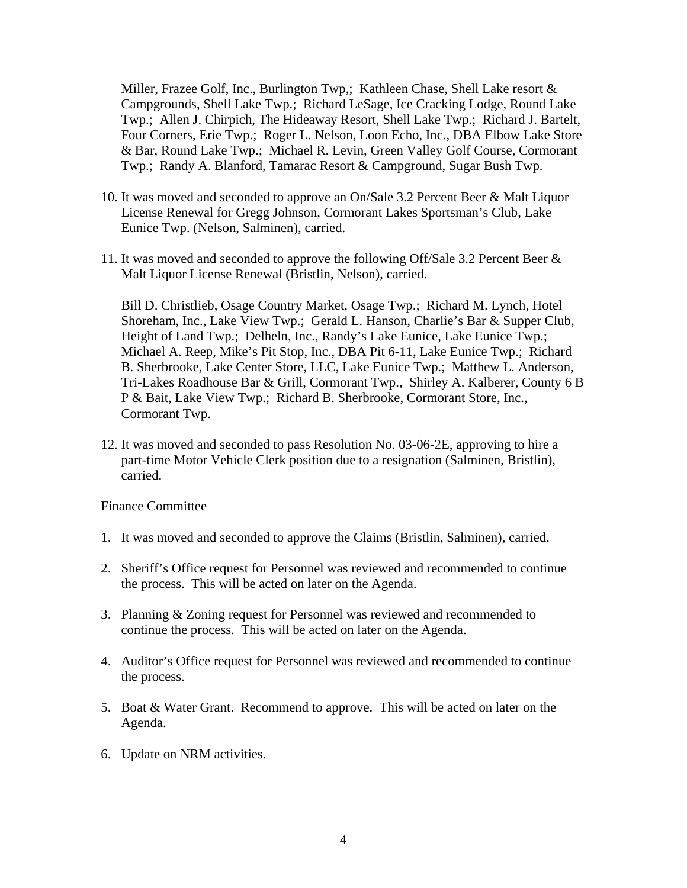Miller, Frazee Golf, Inc., Burlington Twp,; Kathleen Chase, Shell Lake resort & Campgrounds, Shell Lake Twp.; Richard LeSage, Ice Cracking Lodge, Round Lake Twp.; Allen J. Chirpich, The Hideaway Resort, Shell Lake Twp.; Richard J. Bartelt, Four Corners, Erie Twp.; Roger L. Nelson, Loon Echo, Inc., DBA Elbow Lake Store & Bar, Round Lake Twp.; Michael R. Levin, Green Valley Golf Course, Cormorant Twp.; Randy A. Blanford, Tamarac Resort & Campground, Sugar Bush Twp.

- 10. It was moved and seconded to approve an On/Sale 3.2 Percent Beer & Malt Liquor License Renewal for Gregg Johnson, Cormorant Lakes Sportsman's Club, Lake Eunice Twp. (Nelson, Salminen), carried.
- 11. It was moved and seconded to approve the following Off/Sale 3.2 Percent Beer & Malt Liquor License Renewal (Bristlin, Nelson), carried.

Bill D. Christlieb, Osage Country Market, Osage Twp.; Richard M. Lynch, Hotel Shoreham, Inc., Lake View Twp.; Gerald L. Hanson, Charlie's Bar & Supper Club, Height of Land Twp.; Delheln, Inc., Randy's Lake Eunice, Lake Eunice Twp.; Michael A. Reep, Mike's Pit Stop, Inc., DBA Pit 6-11, Lake Eunice Twp.; Richard B. Sherbrooke, Lake Center Store, LLC, Lake Eunice Twp.; Matthew L. Anderson, Tri-Lakes Roadhouse Bar & Grill, Cormorant Twp., Shirley A. Kalberer, County 6 B P & Bait, Lake View Twp.; Richard B. Sherbrooke, Cormorant Store, Inc., Cormorant Twp.

12. It was moved and seconded to pass Resolution No. 03-06-2E, approving to hire a part-time Motor Vehicle Clerk position due to a resignation (Salminen, Bristlin), carried.

Finance Committee

- 1. It was moved and seconded to approve the Claims (Bristlin, Salminen), carried.
- 2. Sheriff's Office request for Personnel was reviewed and recommended to continue the process. This will be acted on later on the Agenda.
- 3. Planning & Zoning request for Personnel was reviewed and recommended to continue the process. This will be acted on later on the Agenda.
- 4. Auditor's Office request for Personnel was reviewed and recommended to continue the process.
- 5. Boat & Water Grant. Recommend to approve. This will be acted on later on the Agenda.
- 6. Update on NRM activities.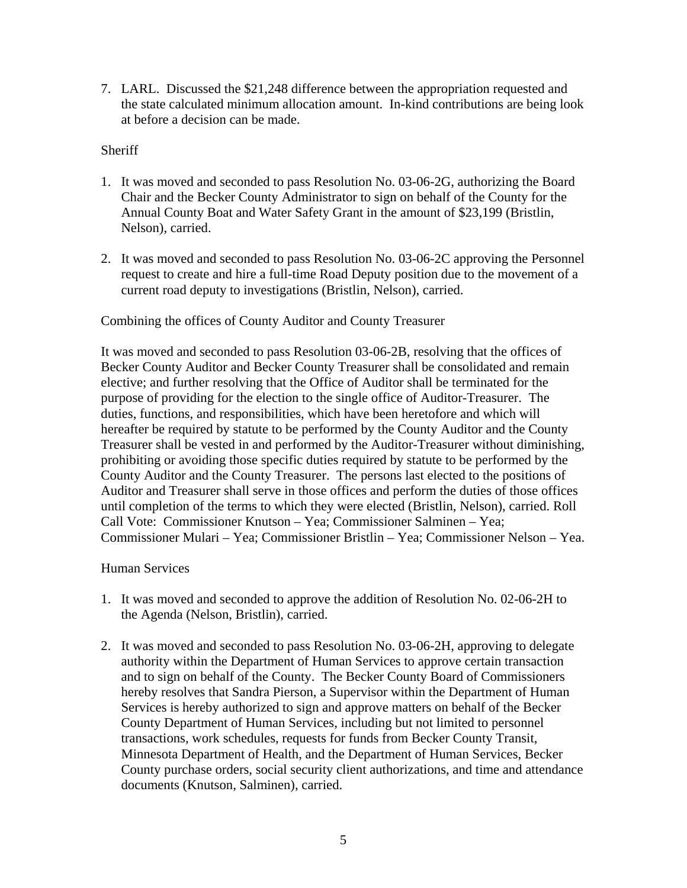7. LARL. Discussed the \$21,248 difference between the appropriation requested and the state calculated minimum allocation amount. In-kind contributions are being look at before a decision can be made.

## **Sheriff**

- 1. It was moved and seconded to pass Resolution No. 03-06-2G, authorizing the Board Chair and the Becker County Administrator to sign on behalf of the County for the Annual County Boat and Water Safety Grant in the amount of \$23,199 (Bristlin, Nelson), carried.
- 2. It was moved and seconded to pass Resolution No. 03-06-2C approving the Personnel request to create and hire a full-time Road Deputy position due to the movement of a current road deputy to investigations (Bristlin, Nelson), carried.

Combining the offices of County Auditor and County Treasurer

It was moved and seconded to pass Resolution 03-06-2B, resolving that the offices of Becker County Auditor and Becker County Treasurer shall be consolidated and remain elective; and further resolving that the Office of Auditor shall be terminated for the purpose of providing for the election to the single office of Auditor-Treasurer. The duties, functions, and responsibilities, which have been heretofore and which will hereafter be required by statute to be performed by the County Auditor and the County Treasurer shall be vested in and performed by the Auditor-Treasurer without diminishing, prohibiting or avoiding those specific duties required by statute to be performed by the County Auditor and the County Treasurer. The persons last elected to the positions of Auditor and Treasurer shall serve in those offices and perform the duties of those offices until completion of the terms to which they were elected (Bristlin, Nelson), carried. Roll Call Vote: Commissioner Knutson – Yea; Commissioner Salminen – Yea; Commissioner Mulari – Yea; Commissioner Bristlin – Yea; Commissioner Nelson – Yea.

#### Human Services

- 1. It was moved and seconded to approve the addition of Resolution No. 02-06-2H to the Agenda (Nelson, Bristlin), carried.
- 2. It was moved and seconded to pass Resolution No. 03-06-2H, approving to delegate authority within the Department of Human Services to approve certain transaction and to sign on behalf of the County. The Becker County Board of Commissioners hereby resolves that Sandra Pierson, a Supervisor within the Department of Human Services is hereby authorized to sign and approve matters on behalf of the Becker County Department of Human Services, including but not limited to personnel transactions, work schedules, requests for funds from Becker County Transit, Minnesota Department of Health, and the Department of Human Services, Becker County purchase orders, social security client authorizations, and time and attendance documents (Knutson, Salminen), carried.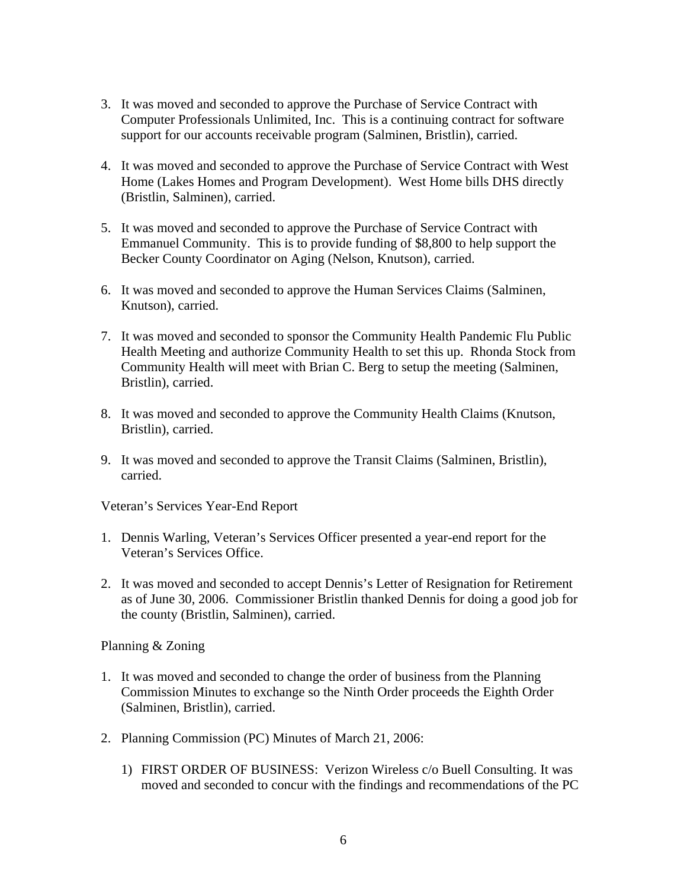- 3. It was moved and seconded to approve the Purchase of Service Contract with Computer Professionals Unlimited, Inc. This is a continuing contract for software support for our accounts receivable program (Salminen, Bristlin), carried.
- 4. It was moved and seconded to approve the Purchase of Service Contract with West Home (Lakes Homes and Program Development). West Home bills DHS directly (Bristlin, Salminen), carried.
- 5. It was moved and seconded to approve the Purchase of Service Contract with Emmanuel Community. This is to provide funding of \$8,800 to help support the Becker County Coordinator on Aging (Nelson, Knutson), carried.
- 6. It was moved and seconded to approve the Human Services Claims (Salminen, Knutson), carried.
- 7. It was moved and seconded to sponsor the Community Health Pandemic Flu Public Health Meeting and authorize Community Health to set this up. Rhonda Stock from Community Health will meet with Brian C. Berg to setup the meeting (Salminen, Bristlin), carried.
- 8. It was moved and seconded to approve the Community Health Claims (Knutson, Bristlin), carried.
- 9. It was moved and seconded to approve the Transit Claims (Salminen, Bristlin), carried.

Veteran's Services Year-End Report

- 1. Dennis Warling, Veteran's Services Officer presented a year-end report for the Veteran's Services Office.
- 2. It was moved and seconded to accept Dennis's Letter of Resignation for Retirement as of June 30, 2006. Commissioner Bristlin thanked Dennis for doing a good job for the county (Bristlin, Salminen), carried.

#### Planning & Zoning

- 1. It was moved and seconded to change the order of business from the Planning Commission Minutes to exchange so the Ninth Order proceeds the Eighth Order (Salminen, Bristlin), carried.
- 2. Planning Commission (PC) Minutes of March 21, 2006:
	- 1) FIRST ORDER OF BUSINESS: Verizon Wireless c/o Buell Consulting. It was moved and seconded to concur with the findings and recommendations of the PC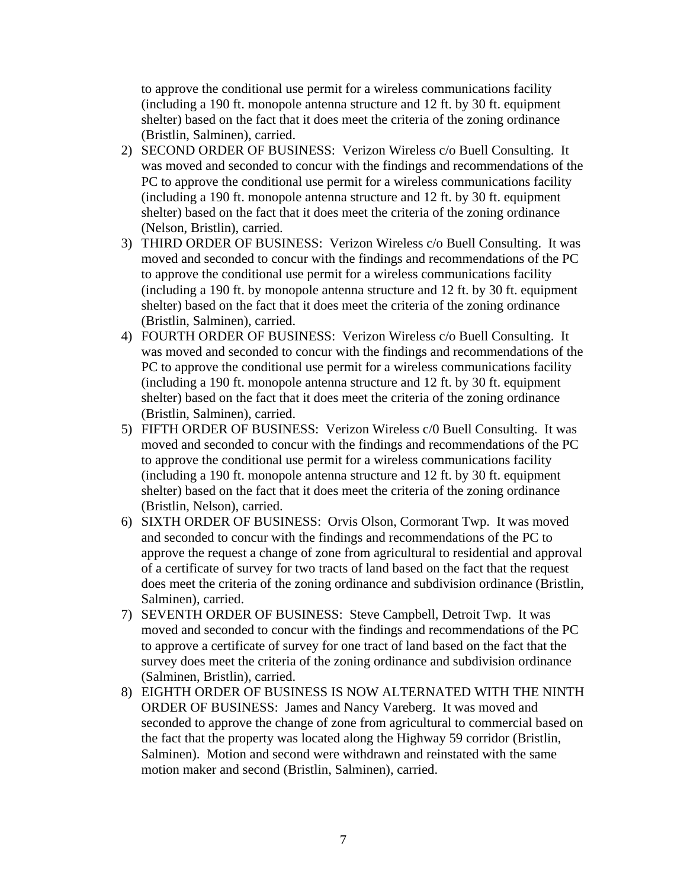to approve the conditional use permit for a wireless communications facility (including a 190 ft. monopole antenna structure and 12 ft. by 30 ft. equipment shelter) based on the fact that it does meet the criteria of the zoning ordinance (Bristlin, Salminen), carried.

- 2) SECOND ORDER OF BUSINESS: Verizon Wireless c/o Buell Consulting. It was moved and seconded to concur with the findings and recommendations of the PC to approve the conditional use permit for a wireless communications facility (including a 190 ft. monopole antenna structure and 12 ft. by 30 ft. equipment shelter) based on the fact that it does meet the criteria of the zoning ordinance (Nelson, Bristlin), carried.
- 3) THIRD ORDER OF BUSINESS: Verizon Wireless c/o Buell Consulting. It was moved and seconded to concur with the findings and recommendations of the PC to approve the conditional use permit for a wireless communications facility (including a 190 ft. by monopole antenna structure and 12 ft. by 30 ft. equipment shelter) based on the fact that it does meet the criteria of the zoning ordinance (Bristlin, Salminen), carried.
- 4) FOURTH ORDER OF BUSINESS: Verizon Wireless c/o Buell Consulting. It was moved and seconded to concur with the findings and recommendations of the PC to approve the conditional use permit for a wireless communications facility (including a 190 ft. monopole antenna structure and 12 ft. by 30 ft. equipment shelter) based on the fact that it does meet the criteria of the zoning ordinance (Bristlin, Salminen), carried.
- 5) FIFTH ORDER OF BUSINESS: Verizon Wireless c/0 Buell Consulting. It was moved and seconded to concur with the findings and recommendations of the PC to approve the conditional use permit for a wireless communications facility (including a 190 ft. monopole antenna structure and 12 ft. by 30 ft. equipment shelter) based on the fact that it does meet the criteria of the zoning ordinance (Bristlin, Nelson), carried.
- 6) SIXTH ORDER OF BUSINESS: Orvis Olson, Cormorant Twp. It was moved and seconded to concur with the findings and recommendations of the PC to approve the request a change of zone from agricultural to residential and approval of a certificate of survey for two tracts of land based on the fact that the request does meet the criteria of the zoning ordinance and subdivision ordinance (Bristlin, Salminen), carried.
- 7) SEVENTH ORDER OF BUSINESS: Steve Campbell, Detroit Twp. It was moved and seconded to concur with the findings and recommendations of the PC to approve a certificate of survey for one tract of land based on the fact that the survey does meet the criteria of the zoning ordinance and subdivision ordinance (Salminen, Bristlin), carried.
- 8) EIGHTH ORDER OF BUSINESS IS NOW ALTERNATED WITH THE NINTH ORDER OF BUSINESS: James and Nancy Vareberg. It was moved and seconded to approve the change of zone from agricultural to commercial based on the fact that the property was located along the Highway 59 corridor (Bristlin, Salminen). Motion and second were withdrawn and reinstated with the same motion maker and second (Bristlin, Salminen), carried.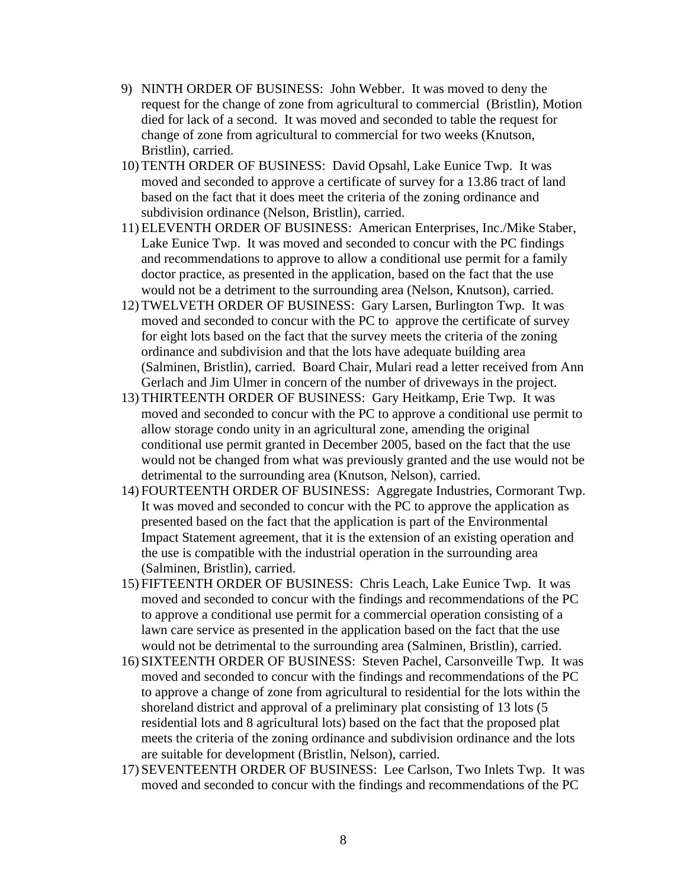- 9) NINTH ORDER OF BUSINESS: John Webber. It was moved to deny the request for the change of zone from agricultural to commercial (Bristlin), Motion died for lack of a second. It was moved and seconded to table the request for change of zone from agricultural to commercial for two weeks (Knutson, Bristlin), carried.
- 10) TENTH ORDER OF BUSINESS: David Opsahl, Lake Eunice Twp. It was moved and seconded to approve a certificate of survey for a 13.86 tract of land based on the fact that it does meet the criteria of the zoning ordinance and subdivision ordinance (Nelson, Bristlin), carried.
- 11) ELEVENTH ORDER OF BUSINESS: American Enterprises, Inc./Mike Staber, Lake Eunice Twp. It was moved and seconded to concur with the PC findings and recommendations to approve to allow a conditional use permit for a family doctor practice, as presented in the application, based on the fact that the use would not be a detriment to the surrounding area (Nelson, Knutson), carried.
- 12) TWELVETH ORDER OF BUSINESS: Gary Larsen, Burlington Twp. It was moved and seconded to concur with the PC to approve the certificate of survey for eight lots based on the fact that the survey meets the criteria of the zoning ordinance and subdivision and that the lots have adequate building area (Salminen, Bristlin), carried. Board Chair, Mulari read a letter received from Ann Gerlach and Jim Ulmer in concern of the number of driveways in the project.
- 13) THIRTEENTH ORDER OF BUSINESS: Gary Heitkamp, Erie Twp. It was moved and seconded to concur with the PC to approve a conditional use permit to allow storage condo unity in an agricultural zone, amending the original conditional use permit granted in December 2005, based on the fact that the use would not be changed from what was previously granted and the use would not be detrimental to the surrounding area (Knutson, Nelson), carried.
- 14) FOURTEENTH ORDER OF BUSINESS: Aggregate Industries, Cormorant Twp. It was moved and seconded to concur with the PC to approve the application as presented based on the fact that the application is part of the Environmental Impact Statement agreement, that it is the extension of an existing operation and the use is compatible with the industrial operation in the surrounding area (Salminen, Bristlin), carried.
- 15) FIFTEENTH ORDER OF BUSINESS: Chris Leach, Lake Eunice Twp. It was moved and seconded to concur with the findings and recommendations of the PC to approve a conditional use permit for a commercial operation consisting of a lawn care service as presented in the application based on the fact that the use would not be detrimental to the surrounding area (Salminen, Bristlin), carried.
- 16) SIXTEENTH ORDER OF BUSINESS: Steven Pachel, Carsonveille Twp. It was moved and seconded to concur with the findings and recommendations of the PC to approve a change of zone from agricultural to residential for the lots within the shoreland district and approval of a preliminary plat consisting of 13 lots (5 residential lots and 8 agricultural lots) based on the fact that the proposed plat meets the criteria of the zoning ordinance and subdivision ordinance and the lots are suitable for development (Bristlin, Nelson), carried.
- 17) SEVENTEENTH ORDER OF BUSINESS: Lee Carlson, Two Inlets Twp. It was moved and seconded to concur with the findings and recommendations of the PC